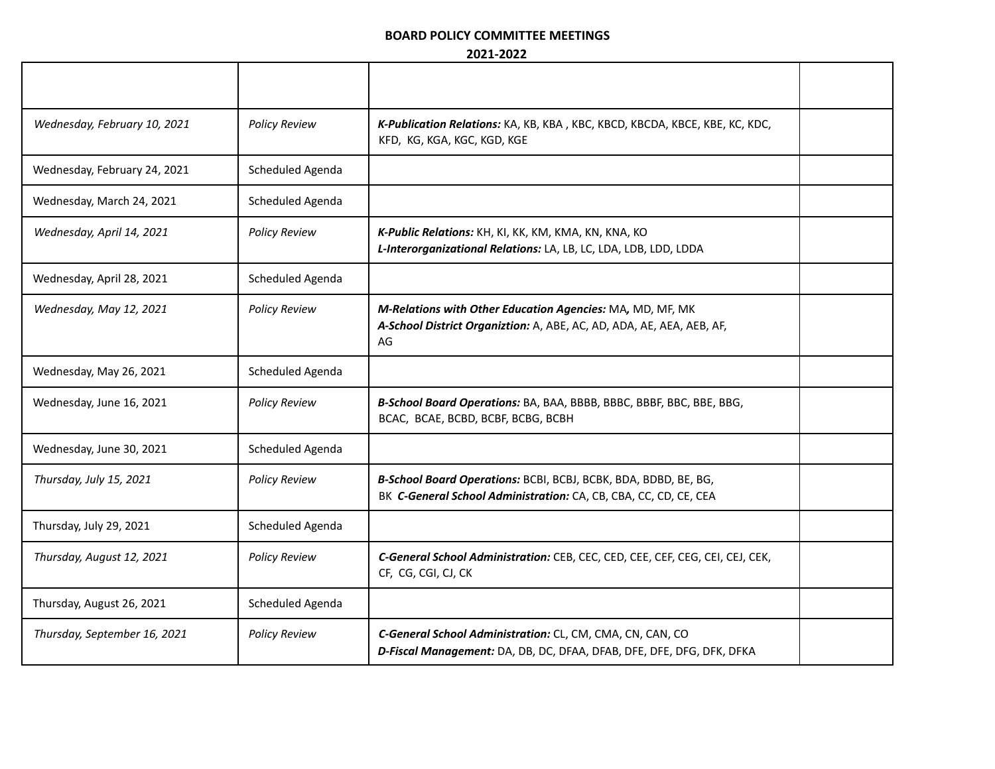## **BOARD POLICY COMMITTEE MEETINGS**

## **2021-2022**

| Wednesday, February 10, 2021 | <b>Policy Review</b> | K-Publication Relations: KA, KB, KBA, KBC, KBCD, KBCDA, KBCE, KBE, KC, KDC,<br>KFD, KG, KGA, KGC, KGD, KGE                               |  |
|------------------------------|----------------------|------------------------------------------------------------------------------------------------------------------------------------------|--|
| Wednesday, February 24, 2021 | Scheduled Agenda     |                                                                                                                                          |  |
| Wednesday, March 24, 2021    | Scheduled Agenda     |                                                                                                                                          |  |
| Wednesday, April 14, 2021    | <b>Policy Review</b> | K-Public Relations: KH, KI, KK, KM, KMA, KN, KNA, KO<br>L-Interorganizational Relations: LA, LB, LC, LDA, LDB, LDD, LDDA                 |  |
| Wednesday, April 28, 2021    | Scheduled Agenda     |                                                                                                                                          |  |
| Wednesday, May 12, 2021      | <b>Policy Review</b> | M-Relations with Other Education Agencies: MA, MD, MF, MK<br>A-School District Organiztion: A, ABE, AC, AD, ADA, AE, AEA, AEB, AF,<br>AG |  |
| Wednesday, May 26, 2021      | Scheduled Agenda     |                                                                                                                                          |  |
| Wednesday, June 16, 2021     | <b>Policy Review</b> | B-School Board Operations: BA, BAA, BBBB, BBBC, BBBF, BBC, BBE, BBG,<br>BCAC, BCAE, BCBD, BCBF, BCBG, BCBH                               |  |
| Wednesday, June 30, 2021     | Scheduled Agenda     |                                                                                                                                          |  |
| Thursday, July 15, 2021      | <b>Policy Review</b> | B-School Board Operations: BCBI, BCBJ, BCBK, BDA, BDBD, BE, BG,<br>BK C-General School Administration: CA, CB, CBA, CC, CD, CE, CEA      |  |
| Thursday, July 29, 2021      | Scheduled Agenda     |                                                                                                                                          |  |
| Thursday, August 12, 2021    | <b>Policy Review</b> | C-General School Administration: CEB, CEC, CED, CEE, CEF, CEG, CEI, CEJ, CEK,<br>CF, CG, CGI, CJ, CK                                     |  |
| Thursday, August 26, 2021    | Scheduled Agenda     |                                                                                                                                          |  |
| Thursday, September 16, 2021 | <b>Policy Review</b> | C-General School Administration: CL, CM, CMA, CN, CAN, CO<br>D-Fiscal Management: DA, DB, DC, DFAA, DFAB, DFE, DFE, DFG, DFK, DFKA       |  |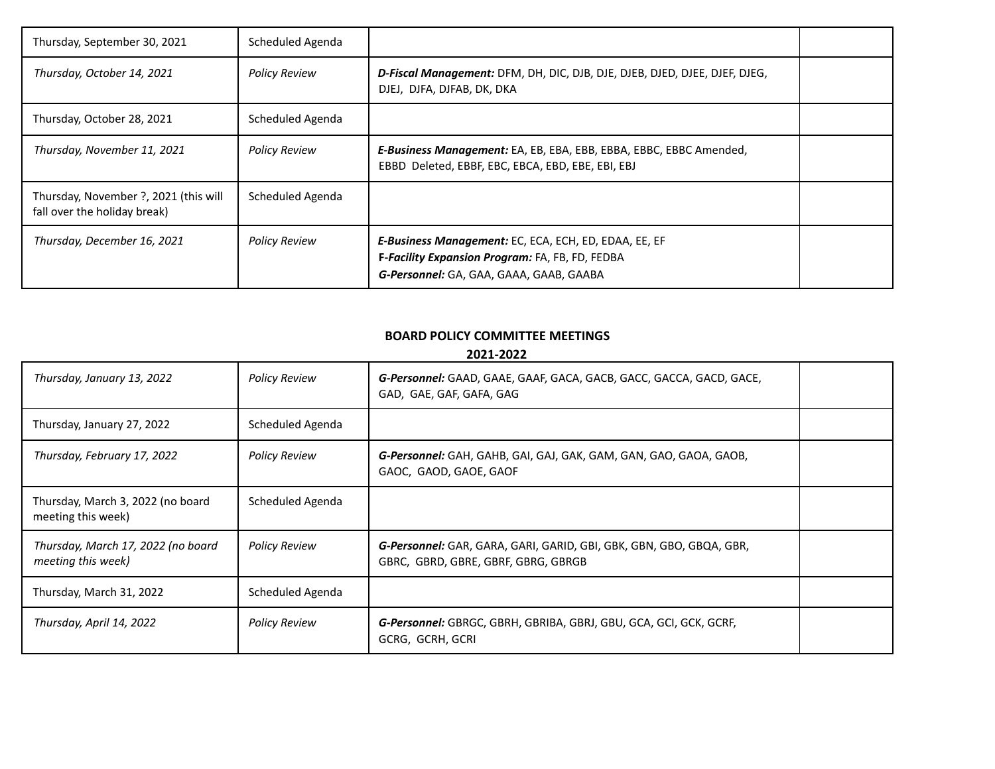| Thursday, September 30, 2021                                          | Scheduled Agenda     |                                                                                                                                                            |  |
|-----------------------------------------------------------------------|----------------------|------------------------------------------------------------------------------------------------------------------------------------------------------------|--|
| Thursday, October 14, 2021                                            | <b>Policy Review</b> | D-Fiscal Management: DFM, DH, DIC, DJB, DJE, DJEB, DJED, DJEE, DJEF, DJEG,<br>DJEJ, DJFA, DJFAB, DK, DKA                                                   |  |
| Thursday, October 28, 2021                                            | Scheduled Agenda     |                                                                                                                                                            |  |
| Thursday, November 11, 2021                                           | <b>Policy Review</b> | E-Business Management: EA, EB, EBA, EBB, EBBA, EBBC, EBBC Amended,<br>EBBD Deleted, EBBF, EBC, EBCA, EBD, EBE, EBI, EBJ                                    |  |
| Thursday, November ?, 2021 (this will<br>fall over the holiday break) | Scheduled Agenda     |                                                                                                                                                            |  |
| Thursday, December 16, 2021                                           | <b>Policy Review</b> | <b>E-Business Management:</b> EC, ECA, ECH, ED, EDAA, EE, EF<br>F-Facility Expansion Program: FA, FB, FD, FEDBA<br>G-Personnel: GA, GAA, GAAA, GAAB, GAABA |  |

## **BOARD POLICY COMMITTEE MEETINGS**

**2021-2022**

| Thursday, January 13, 2022                               | <b>Policy Review</b> | G-Personnel: GAAD, GAAE, GAAF, GACA, GACB, GACC, GACCA, GACD, GACE,<br>GAD, GAE, GAF, GAFA, GAG                   |  |
|----------------------------------------------------------|----------------------|-------------------------------------------------------------------------------------------------------------------|--|
| Thursday, January 27, 2022                               | Scheduled Agenda     |                                                                                                                   |  |
| Thursday, February 17, 2022                              | <b>Policy Review</b> | G-Personnel: GAH, GAHB, GAI, GAJ, GAK, GAM, GAN, GAO, GAOA, GAOB,<br>GAOC, GAOD, GAOE, GAOF                       |  |
| Thursday, March 3, 2022 (no board<br>meeting this week)  | Scheduled Agenda     |                                                                                                                   |  |
| Thursday, March 17, 2022 (no board<br>meeting this week) | <b>Policy Review</b> | <b>G-Personnel:</b> GAR, GARA, GARI, GARID, GBI, GBK, GBN, GBO, GBQA, GBR,<br>GBRC, GBRD, GBRE, GBRF, GBRG, GBRGB |  |
| Thursday, March 31, 2022                                 | Scheduled Agenda     |                                                                                                                   |  |
| Thursday, April 14, 2022                                 | <b>Policy Review</b> | G-Personnel: GBRGC, GBRH, GBRIBA, GBRJ, GBU, GCA, GCI, GCK, GCRF,<br>GCRG, GCRH, GCRI                             |  |